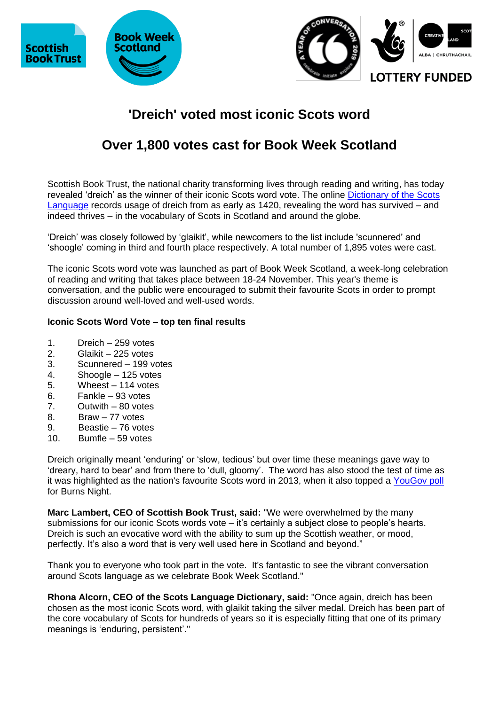





# **'Dreich' voted most iconic Scots word**

## **Over 1,800 votes cast for Book Week Scotland**

Scottish Book Trust, the national charity transforming lives through reading and writing, has today revealed 'dreich' as the winner of their iconic Scots word vote. The online [Dictionary of the Scots](https://dsl.ac.uk/entry/snd/dreich)  [Language](https://dsl.ac.uk/entry/snd/dreich) records usage of dreich from as early as 1420, revealing the word has survived – and indeed thrives – in the vocabulary of Scots in Scotland and around the globe.

'Dreich' was closely followed by 'glaikit', while newcomers to the list include 'scunnered' and 'shoogle' coming in third and fourth place respectively. A total number of 1,895 votes were cast.

The iconic Scots word vote was launched as part of Book Week Scotland, a week-long celebration of reading and writing that takes place between 18-24 November. This year's theme is conversation, and the public were encouraged to submit their favourite Scots in order to prompt discussion around well-loved and well-used words.

## **Iconic Scots Word Vote – top ten final results**

- 1. Dreich 259 votes
- 2. Glaikit 225 votes
- 3. Scunnered 199 votes
- 4. Shoogle 125 votes
- 5. Wheest 114 votes
- 6. Fankle 93 votes
- 7. Outwith 80 votes
- 8. Braw 77 votes
- 9. Beastie 76 votes
- 10. Bumfle 59 votes

Dreich originally meant 'enduring' or 'slow, tedious' but over time these meanings gave way to 'dreary, hard to bear' and from there to 'dull, gloomy'. The word has also stood the test of time as it was highlighted as the nation's favourite Scots word in 2013, when it also topped a [YouGov poll](https://www.scotsman.com/lifestyle-2-15039/dreich-tops-poll-of-favourite-scots-words-1-2754328) for Burns Night.

**Marc Lambert, CEO of Scottish Book Trust, said:** "We were overwhelmed by the many submissions for our iconic Scots words vote – it's certainly a subject close to people's hearts. Dreich is such an evocative word with the ability to sum up the Scottish weather, or mood, perfectly. It's also a word that is very well used here in Scotland and beyond."

Thank you to everyone who took part in the vote. It's fantastic to see the vibrant conversation around Scots language as we celebrate Book Week Scotland."

**Rhona Alcorn, CEO of the Scots Language Dictionary, said:** "Once again, dreich has been chosen as the most iconic Scots word, with glaikit taking the silver medal. Dreich has been part of the core vocabulary of Scots for hundreds of years so it is especially fitting that one of its primary meanings is 'enduring, persistent'."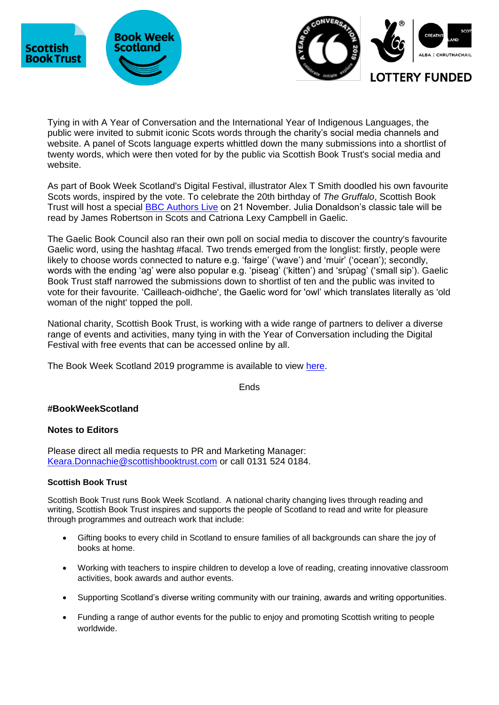





Tying in with A Year of Conversation and the International Year of Indigenous Languages, the public were invited to submit iconic Scots words through the charity's social media channels and website. A panel of Scots language experts whittled down the many submissions into a shortlist of twenty words, which were then voted for by the public via Scottish Book Trust's social media and website.

As part of Book Week Scotland's Digital Festival, illustrator Alex T Smith doodled his own favourite Scots words, inspired by the vote. To celebrate the 20th birthday of *The Gruffalo*, Scottish Book Trust will host a special [BBC Authors Live](https://www.scottishbooktrust.com/learning-and-resources/authors-live/the-gruffalo-in-scots-and-gaelic) on 21 November. Julia Donaldson's classic tale will be read by James Robertson in Scots and Catriona Lexy Campbell in Gaelic.

The Gaelic Book Council also ran their own poll on social media to discover the country's favourite Gaelic word, using the hashtag #facal. Two trends emerged from the longlist: firstly, people were likely to choose words connected to nature e.g. 'fairge' ('wave') and 'muir' ('ocean'); secondly, words with the ending 'ag' were also popular e.g. 'piseag' ('kitten') and 'srùpag' ('small sip'). Gaelic Book Trust staff narrowed the submissions down to shortlist of ten and the public was invited to vote for their favourite. 'Cailleach-oidhche', the Gaelic word for 'owl' which translates literally as 'old woman of the night' topped the poll.

National charity, Scottish Book Trust, is working with a wide range of partners to deliver a diverse range of events and activities, many tying in with the Year of Conversation including the Digital Festival with free events that can be accessed online by all.

The Book Week Scotland 2019 programme is available to view [here.](https://www.scottishbooktrust.com/book-week-scotland/events)

Ends

## **#BookWeekScotland**

## **Notes to Editors**

Please direct all media requests to PR and Marketing Manager: [Keara.Donnachie@scottishbooktrust.com](mailto:Keara.Donnachie@scottishbooktrust.com) or call 0131 524 0184.

## **Scottish Book Trust**

Scottish Book Trust runs Book Week Scotland. A national charity changing lives through reading and writing, Scottish Book Trust inspires and supports the people of Scotland to read and write for pleasure through programmes and outreach work that include:

- Gifting books to every child in Scotland to ensure families of all backgrounds can share the joy of books at home.
- Working with teachers to inspire children to develop a love of reading, creating innovative classroom activities, book awards and author events.
- Supporting Scotland's diverse writing community with our training, awards and writing opportunities.
- Funding a range of author events for the public to enjoy and promoting Scottish writing to people worldwide.